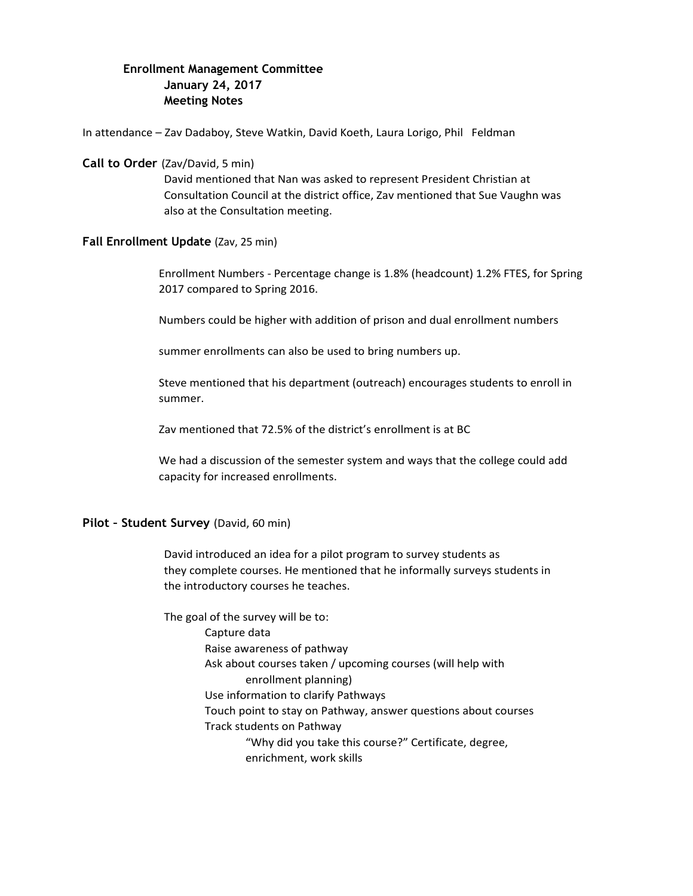# **Enrollment Management Committee January 24, 2017 Meeting Notes**

In attendance – Zav Dadaboy, Steve Watkin, David Koeth, Laura Lorigo, Phil Feldman

## **Call to Order** (Zav/David, 5 min)

David mentioned that Nan was asked to represent President Christian at Consultation Council at the district office, Zav mentioned that Sue Vaughn was also at the Consultation meeting.

## **Fall Enrollment Update** (Zav, 25 min)

Enrollment Numbers - Percentage change is 1.8% (headcount) 1.2% FTES, for Spring 2017 compared to Spring 2016.

Numbers could be higher with addition of prison and dual enrollment numbers

summer enrollments can also be used to bring numbers up.

Steve mentioned that his department (outreach) encourages students to enroll in summer.

Zav mentioned that 72.5% of the district's enrollment is at BC

We had a discussion of the semester system and ways that the college could add capacity for increased enrollments.

## **Pilot – Student Survey** (David, 60 min)

David introduced an idea for a pilot program to survey students as they complete courses. He mentioned that he informally surveys students in the introductory courses he teaches.

The goal of the survey will be to: Capture data Raise awareness of pathway Ask about courses taken / upcoming courses (will help with enrollment planning) Use information to clarify Pathways Touch point to stay on Pathway, answer questions about courses Track students on Pathway "Why did you take this course?" Certificate, degree, enrichment, work skills